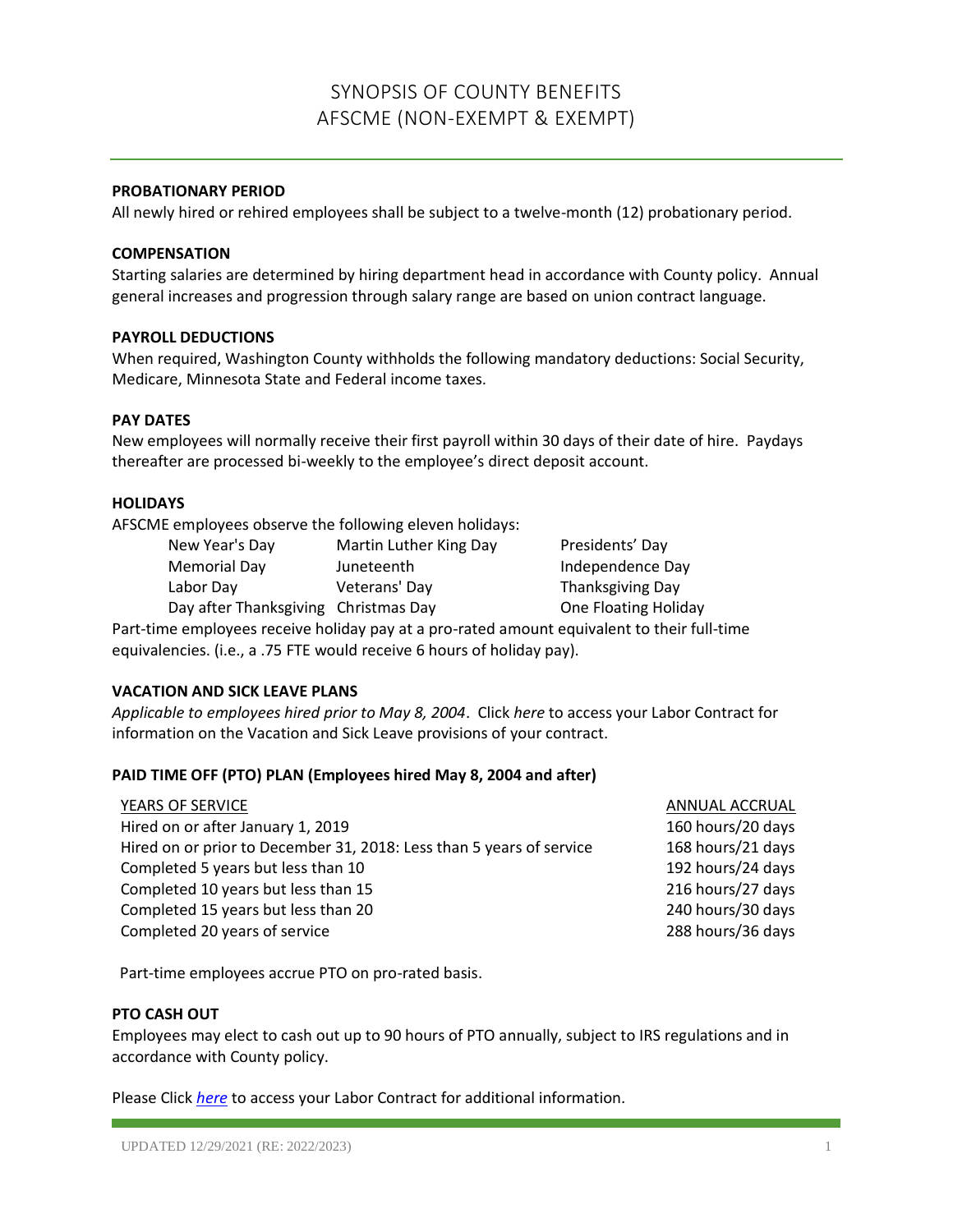# SYNOPSIS OF COUNTY BENEFITS AFSCME (NON-EXEMPT & EXEMPT)

## **PROBATIONARY PERIOD**

All newly hired or rehired employees shall be subject to a twelve-month (12) probationary period.

#### **COMPENSATION**

Starting salaries are determined by hiring department head in accordance with County policy. Annual general increases and progression through salary range are based on union contract language.

## **PAYROLL DEDUCTIONS**

When required, Washington County withholds the following mandatory deductions: Social Security, Medicare, Minnesota State and Federal income taxes.

# **PAY DATES**

New employees will normally receive their first payroll within 30 days of their date of hire. Paydays thereafter are processed bi-weekly to the employee's direct deposit account.

#### **HOLIDAYS**

AFSCME employees observe the following eleven holidays:

New Year's Day **Martin Luther King Day** Presidents' Day Memorial Day **Independence Day** Juneteenth Independence Day Labor Day Veterans' Day Thanksgiving Day

Day after Thanksgiving Christmas Day **Charlot Christmas Day** One Floating Holiday

Part-time employees receive holiday pay at a pro-rated amount equivalent to their full-time equivalencies. (i.e., a .75 FTE would receive 6 hours of holiday pay).

# **VACATION AND SICK LEAVE PLANS**

*Applicable to employees hired prior to May 8, 2004*. Click *here* to access your Labor Contract for information on the Vacation and Sick Leave provisions of your contract.

# **PAID TIME OFF (PTO) PLAN (Employees hired May 8, 2004 and after)**

| YEARS OF SERVICE                                                     | ANNUAL ACCRUAL    |
|----------------------------------------------------------------------|-------------------|
| Hired on or after January 1, 2019                                    | 160 hours/20 days |
| Hired on or prior to December 31, 2018: Less than 5 years of service | 168 hours/21 days |
| Completed 5 years but less than 10                                   | 192 hours/24 days |
| Completed 10 years but less than 15                                  | 216 hours/27 days |
| Completed 15 years but less than 20                                  | 240 hours/30 days |
| Completed 20 years of service                                        | 288 hours/36 days |
|                                                                      |                   |

Part-time employees accrue PTO on pro-rated basis.

#### **PTO CASH OUT**

Employees may elect to cash out up to 90 hours of PTO annually, subject to IRS regulations and in accordance with County policy.

Please Click *[here](https://washnet.co.washington.mn.us/depts/hr/labagre/Pages/default.aspx)* to access your Labor Contract for additional information.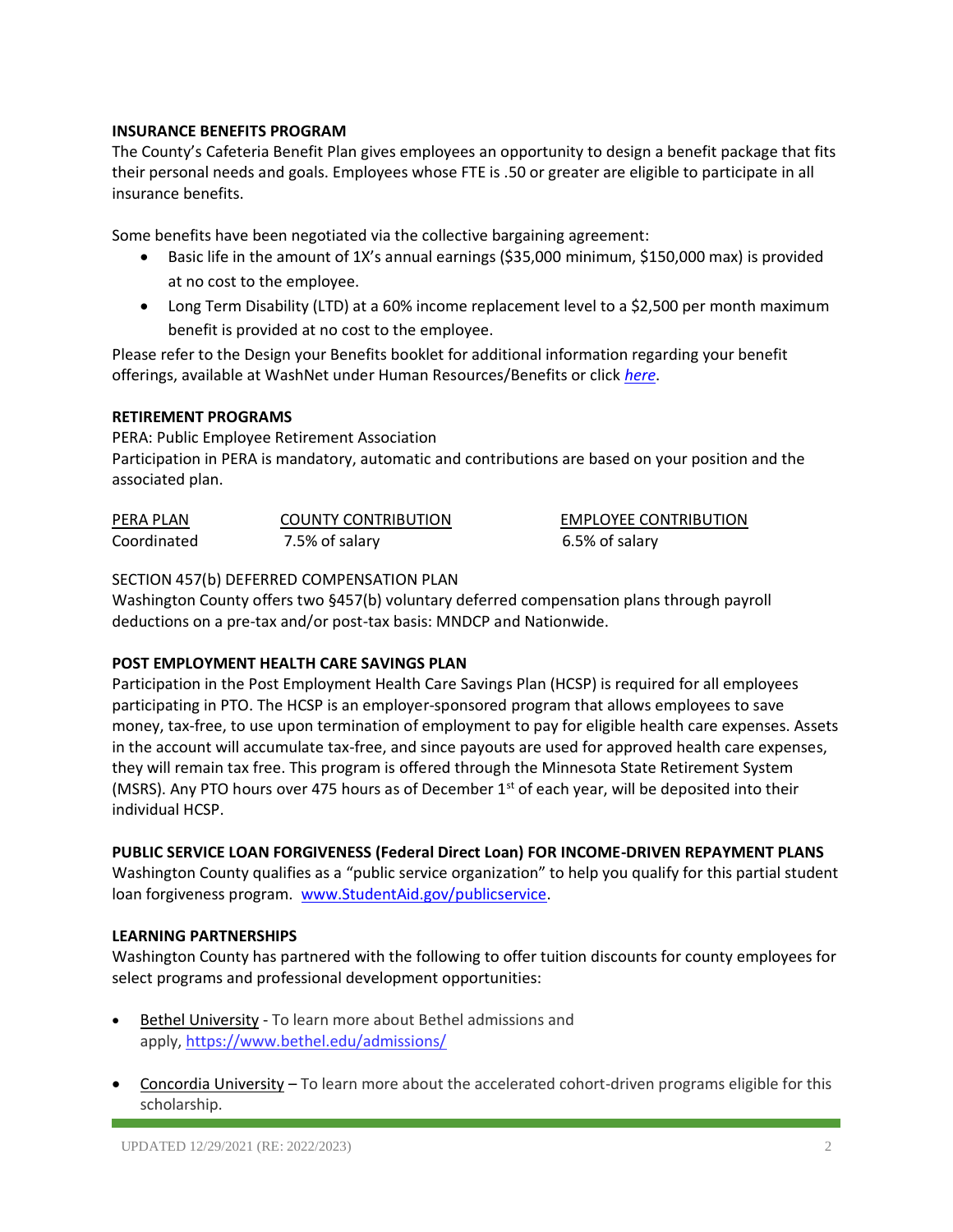## **INSURANCE BENEFITS PROGRAM**

The County's Cafeteria Benefit Plan gives employees an opportunity to design a benefit package that fits their personal needs and goals. Employees whose FTE is .50 or greater are eligible to participate in all insurance benefits.

Some benefits have been negotiated via the collective bargaining agreement:

- Basic life in the amount of 1X's annual earnings (\$35,000 minimum, \$150,000 max) is provided at no cost to the employee.
- Long Term Disability (LTD) at a 60% income replacement level to a \$2,500 per month maximum benefit is provided at no cost to the employee.

Please refer to the Design your Benefits booklet for additional information regarding your benefit offerings, available at WashNet under Human Resources/Benefits or click *[here](https://washnet.co.washington.mn.us/depts/hr/benefits2/Shared%20Documents/CurrentBenefitBook.pdf?csf=1&e=CmQiSr)*.

#### **RETIREMENT PROGRAMS**

PERA: Public Employee Retirement Association Participation in PERA is mandatory, automatic and contributions are based on your position and the associated plan.

| PERA PLAN   | COUNTY CONTRIBUTION | <b>EMPLOYEE CONTRIBUTION</b> |
|-------------|---------------------|------------------------------|
| Coordinated | 7.5% of salary      | 6.5% of salary               |

## SECTION 457(b) DEFERRED COMPENSATION PLAN

Washington County offers two §457(b) voluntary deferred compensation plans through payroll deductions on a pre-tax and/or post-tax basis: MNDCP and Nationwide.

# **POST EMPLOYMENT HEALTH CARE SAVINGS PLAN**

Participation in the Post Employment Health Care Savings Plan (HCSP) is required for all employees participating in PTO. The HCSP is an employer-sponsored program that allows employees to save money, tax-free, to use upon termination of employment to pay for eligible health care expenses. Assets in the account will accumulate tax-free, and since payouts are used for approved health care expenses, they will remain tax free. This program is offered through the Minnesota State Retirement System (MSRS). Any PTO hours over 475 hours as of December  $1<sup>st</sup>$  of each year, will be deposited into their individual HCSP.

# **PUBLIC SERVICE LOAN FORGIVENESS (Federal Direct Loan) FOR INCOME-DRIVEN REPAYMENT PLANS**

Washington County qualifies as a "public service organization" to help you qualify for this partial student loan forgiveness program. [www.StudentAid.gov/publicservice.](http://www.studentaid.gov/publicservice)

# **LEARNING PARTNERSHIPS**

Washington County has partnered with the following to offer tuition discounts for county employees for select programs and professional development opportunities:

- Bethel University To learn more about Bethel admissions and apply, <https://www.bethel.edu/admissions/>
- Concordia University To learn more about the accelerated cohort-driven programs eligible for this scholarship.